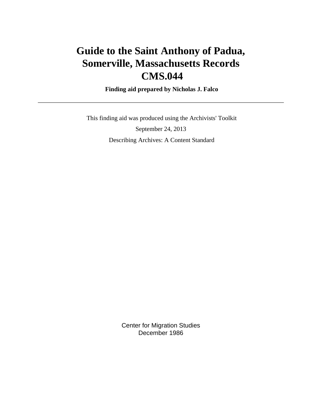# **Guide to the Saint Anthony of Padua, Somerville, Massachusetts Records CMS.044**

 **Finding aid prepared by Nicholas J. Falco**

 This finding aid was produced using the Archivists' Toolkit September 24, 2013 Describing Archives: A Content Standard

> Center for Migration Studies December 1986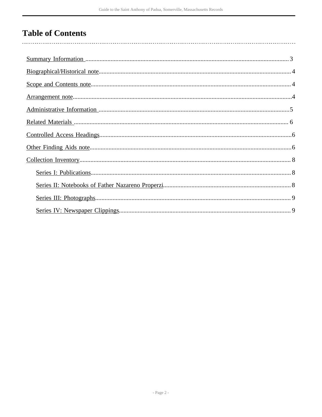# **Table of Contents**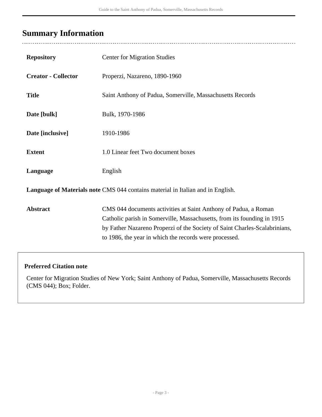# <span id="page-2-0"></span>**Summary Information**

| <b>Repository</b>                                                               | <b>Center for Migration Studies</b>                                                                                                                                                                                                                                                |  |  |
|---------------------------------------------------------------------------------|------------------------------------------------------------------------------------------------------------------------------------------------------------------------------------------------------------------------------------------------------------------------------------|--|--|
| <b>Creator - Collector</b>                                                      | Properzi, Nazareno, 1890-1960                                                                                                                                                                                                                                                      |  |  |
| <b>Title</b>                                                                    | Saint Anthony of Padua, Somerville, Massachusetts Records                                                                                                                                                                                                                          |  |  |
| Date [bulk]                                                                     | Bulk, 1970-1986                                                                                                                                                                                                                                                                    |  |  |
| Date [inclusive]                                                                | 1910-1986                                                                                                                                                                                                                                                                          |  |  |
| <b>Extent</b>                                                                   | 1.0 Linear feet Two document boxes                                                                                                                                                                                                                                                 |  |  |
| Language                                                                        | English                                                                                                                                                                                                                                                                            |  |  |
| Language of Materials note CMS 044 contains material in Italian and in English. |                                                                                                                                                                                                                                                                                    |  |  |
| <b>Abstract</b>                                                                 | CMS 044 documents activities at Saint Anthony of Padua, a Roman<br>Catholic parish in Somerville, Massachusetts, from its founding in 1915<br>by Father Nazareno Properzi of the Society of Saint Charles-Scalabrinians,<br>to 1986, the year in which the records were processed. |  |  |

#### **Preferred Citation note**

Center for Migration Studies of New York; Saint Anthony of Padua, Somerville, Massachusetts Records (CMS 044); Box; Folder.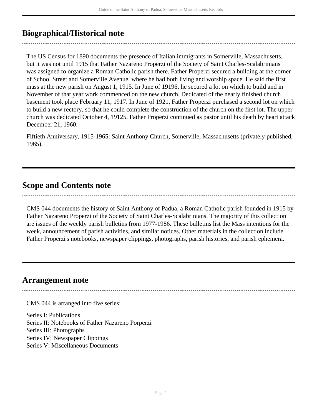## <span id="page-3-0"></span>**Biographical/Historical note**

The US Census for 1890 documents the presence of Italian immigrants in Somerville, Massachusetts, but it was not until 1915 that Father Nazareno Properzi of the Society of Saint Charles-Scalabrinians was assigned to organize a Roman Catholic parish there. Father Properzi secured a building at the corner of School Street and Somerville Avenue, where he had both living and worship space. He said the first mass at the new parish on August 1, 1915. In June of 19196, he secured a lot on which to build and in November of that year work commenced on the new church. Dedicated of the nearly finished church basement took place February 11, 1917. In June of 1921, Father Properzi purchased a second lot on which to build a new rectory, so that he could complete the construction of the church on the first lot. The upper church was dedicated October 4, 19125. Father Properzi continued as pastor until his death by heart attack December 21, 1960.

Fiftieth Anniversary, 1915-1965: Saint Anthony Church, Somerville, Massachusetts (privately published, 1965).

### <span id="page-3-1"></span>**Scope and Contents note**

CMS 044 documents the history of Saint Anthony of Padua, a Roman Catholic parish founded in 1915 by Father Nazareno Properzi of the Society of Saint Charles-Scalabrinians. The majority of this collection are issues of the weekly parish bulletins from 1977-1986. These bulletins list the Mass intentions for the week, announcement of parish activities, and similar notices. Other materials in the collection include Father Properzi's notebooks, newspaper clippings, photographs, parish histories, and parish ephemera.

### <span id="page-3-2"></span>**Arrangement note**

CMS 044 is arranged into five series:

Series I: Publications Series II: Notebooks of Father Nazareno Porperzi Series III: Photographs Series IV: Newspaper Clippings Series V: Miscellaneous Documents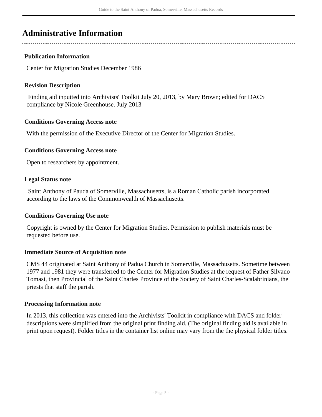### <span id="page-4-0"></span>**Administrative Information**

#### **Publication Information**

Center for Migration Studies December 1986

#### **Revision Description**

 Finding aid inputted into Archivists' Toolkit July 20, 2013, by Mary Brown; edited for DACS compliance by Nicole Greenhouse. July 2013

#### **Conditions Governing Access note**

With the permission of the Executive Director of the Center for Migration Studies.

#### **Conditions Governing Access note**

Open to researchers by appointment.

#### **Legal Status note**

 Saint Anthony of Pauda of Somerville, Massachusetts, is a Roman Catholic parish incorporated according to the laws of the Commonwealth of Massachusetts.

#### **Conditions Governing Use note**

Copyright is owned by the Center for Migration Studies. Permission to publish materials must be requested before use.

#### **Immediate Source of Acquisition note**

CMS 44 originated at Saint Anthony of Padua Church in Somerville, Massachusetts. Sometime between 1977 and 1981 they were transferred to the Center for Migration Studies at the request of Father Silvano Tomasi, then Provincial of the Saint Charles Province of the Society of Saint Charles-Scalabrinians, the priests that staff the parish.

#### **Processing Information note**

In 2013, this collection was entered into the Archivists' Toolkit in compliance with DACS and folder descriptions were simplified from the original print finding aid. (The original finding aid is available in print upon request). Folder titles in the container list online may vary from the the physical folder titles.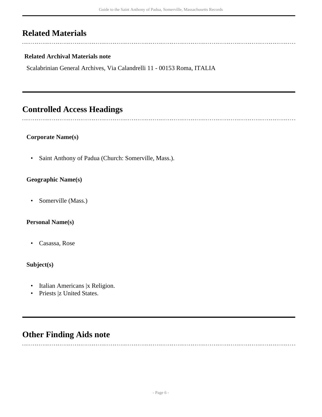## <span id="page-5-0"></span>**Related Materials**

 $\sim$ 

 $\overline{a}$ 

#### **Related Archival Materials note**

Scalabrinian General Archives, Via Calandrelli 11 - 00153 Roma, ITALIA

### <span id="page-5-1"></span>**Controlled Access Headings**

#### **Corporate Name(s)**

• Saint Anthony of Padua (Church: Somerville, Mass.).

#### **Geographic Name(s)**

• Somerville (Mass.)

#### **Personal Name(s)**

• Casassa, Rose

#### **Subject(s)**

- Italian Americans |x Religion.
- Priests |z United States.

### <span id="page-5-2"></span>**Other Finding Aids note**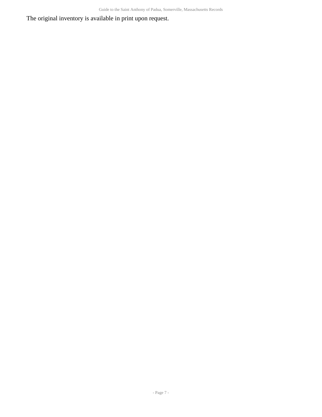The original inventory is available in print upon request.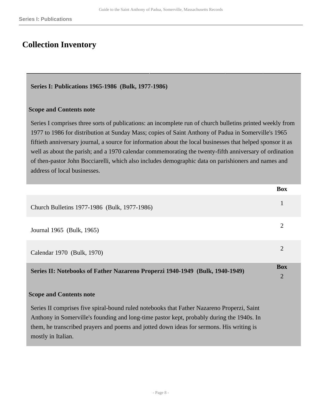### <span id="page-7-0"></span>**Collection Inventory**

#### <span id="page-7-1"></span>**Series I: Publications 1965-1986 (Bulk, 1977-1986)**

#### **Scope and Contents note**

Series I comprises three sorts of publications: an incomplete run of church bulletins printed weekly from 1977 to 1986 for distribution at Sunday Mass; copies of Saint Anthony of Padua in Somerville's 1965 fiftieth anniversary journal, a source for information about the local businesses that helped sponsor it as well as about the parish; and a 1970 calendar commemorating the twenty-fifth anniversary of ordination of then-pastor John Bocciarelli, which also includes demographic data on parishioners and names and address of local businesses.

|                                                                              | <b>Box</b>     |
|------------------------------------------------------------------------------|----------------|
| Church Bulletins 1977-1986 (Bulk, 1977-1986)                                 | 1              |
| Journal 1965 (Bulk, 1965)                                                    | $\overline{c}$ |
| Calendar 1970 (Bulk, 1970)                                                   | 2              |
| Series II: Notebooks of Father Nazareno Properzi 1940-1949 (Bulk, 1940-1949) |                |
|                                                                              |                |

<span id="page-7-2"></span>Series II comprises five spiral-bound ruled notebooks that Father Nazareno Properzi, Saint Anthony in Somerville's founding and long-time pastor kept, probably during the 1940s. In them, he transcribed prayers and poems and jotted down ideas for sermons. His writing is mostly in Italian.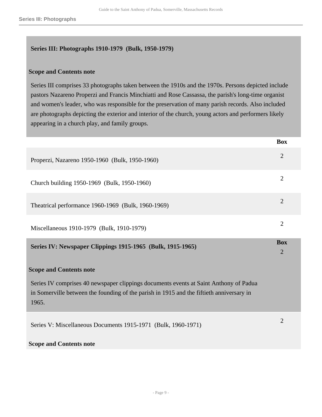#### <span id="page-8-0"></span>**Series III: Photographs 1910-1979 (Bulk, 1950-1979)**

#### **Scope and Contents note**

Series III comprises 33 photographs taken between the 1910s and the 1970s. Persons depicted include pastors Nazareno Properzi and Francis Minchiatti and Rose Cassassa, the parish's long-time organist and women's leader, who was responsible for the preservation of many parish records. Also included are photographs depicting the exterior and interior of the church, young actors and performers likely appearing in a church play, and family groups.

**Box**

<span id="page-8-1"></span>

|                                                                                                                                                                                            | DVA                          |
|--------------------------------------------------------------------------------------------------------------------------------------------------------------------------------------------|------------------------------|
| Properzi, Nazareno 1950-1960 (Bulk, 1950-1960)                                                                                                                                             | $\overline{2}$               |
| Church building 1950-1969 (Bulk, 1950-1960)                                                                                                                                                | $\overline{2}$               |
| Theatrical performance 1960-1969 (Bulk, 1960-1969)                                                                                                                                         | $\overline{2}$               |
| Miscellaneous 1910-1979 (Bulk, 1910-1979)                                                                                                                                                  | $\overline{2}$               |
| Series IV: Newspaper Clippings 1915-1965 (Bulk, 1915-1965)                                                                                                                                 | <b>Box</b><br>$\overline{2}$ |
| <b>Scope and Contents note</b>                                                                                                                                                             |                              |
| Series IV comprises 40 newspaper clippings documents events at Saint Anthony of Padua<br>in Somerville between the founding of the parish in 1915 and the fiftieth anniversary in<br>1965. |                              |
| Series V: Miscellaneous Documents 1915-1971 (Bulk, 1960-1971)                                                                                                                              | $\overline{2}$               |
| <b>Scope and Contents note</b>                                                                                                                                                             |                              |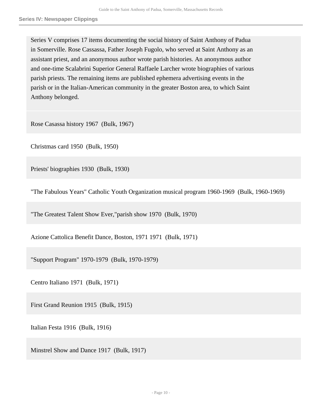Series V comprises 17 items documenting the social history of Saint Anthony of Padua in Somerville. Rose Cassassa, Father Joseph Fugolo, who served at Saint Anthony as an assistant priest, and an anonymous author wrote parish histories. An anonymous author and one-time Scalabrini Superior General Raffaele Larcher wrote biographies of various parish priests. The remaining items are published ephemera advertising events in the parish or in the Italian-American community in the greater Boston area, to which Saint Anthony belonged.

Rose Casassa history 1967 (Bulk, 1967)

Christmas card 1950 (Bulk, 1950)

Priests' biographies 1930 (Bulk, 1930)

"The Fabulous Years" Catholic Youth Organization musical program 1960-1969 (Bulk, 1960-1969)

"The Greatest Talent Show Ever,"parish show 1970 (Bulk, 1970)

Azione Cattolica Benefit Dance, Boston, 1971 1971 (Bulk, 1971)

"Support Program" 1970-1979 (Bulk, 1970-1979)

Centro Italiano 1971 (Bulk, 1971)

First Grand Reunion 1915 (Bulk, 1915)

Italian Festa 1916 (Bulk, 1916)

Minstrel Show and Dance 1917 (Bulk, 1917)